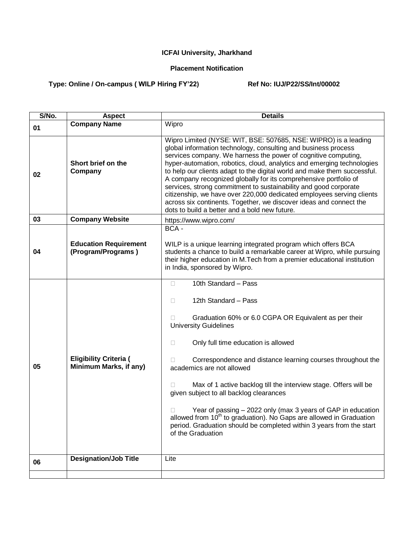## **ICFAI University, Jharkhand**

## **Placement Notification**

## **Type: Online / On-campus ( WILP Hiring FY'22) Ref No: IUJ/P22/SS/Int/00002**

| S/No. | <b>Aspect</b>                                           | <b>Details</b>                                                                                                                                                                                                                                                                                                                                                                                                                                                                                                                                                                                                                                                                                    |
|-------|---------------------------------------------------------|---------------------------------------------------------------------------------------------------------------------------------------------------------------------------------------------------------------------------------------------------------------------------------------------------------------------------------------------------------------------------------------------------------------------------------------------------------------------------------------------------------------------------------------------------------------------------------------------------------------------------------------------------------------------------------------------------|
| 01    | <b>Company Name</b>                                     | Wipro                                                                                                                                                                                                                                                                                                                                                                                                                                                                                                                                                                                                                                                                                             |
| 02    | Short brief on the<br>Company                           | Wipro Limited (NYSE: WIT, BSE: 507685, NSE: WIPRO) is a leading<br>global information technology, consulting and business process<br>services company. We harness the power of cognitive computing,<br>hyper-automation, robotics, cloud, analytics and emerging technologies<br>to help our clients adapt to the digital world and make them successful.<br>A company recognized globally for its comprehensive portfolio of<br>services, strong commitment to sustainability and good corporate<br>citizenship, we have over 220,000 dedicated employees serving clients<br>across six continents. Together, we discover ideas and connect the<br>dots to build a better and a bold new future. |
| 03    | <b>Company Website</b>                                  | https://www.wipro.com/                                                                                                                                                                                                                                                                                                                                                                                                                                                                                                                                                                                                                                                                            |
| 04    | <b>Education Requirement</b><br>(Program/Programs)      | BCA -<br>WILP is a unique learning integrated program which offers BCA<br>students a chance to build a remarkable career at Wipro, while pursuing<br>their higher education in M.Tech from a premier educational institution                                                                                                                                                                                                                                                                                                                                                                                                                                                                      |
|       |                                                         | in India, sponsored by Wipro.                                                                                                                                                                                                                                                                                                                                                                                                                                                                                                                                                                                                                                                                     |
| 05    | <b>Eligibility Criteria (</b><br>Minimum Marks, if any) | 10th Standard - Pass<br>П.<br>12th Standard - Pass<br>П<br>Graduation 60% or 6.0 CGPA OR Equivalent as per their<br><b>University Guidelines</b><br>Only full time education is allowed<br>0<br>Correspondence and distance learning courses throughout the<br>п<br>academics are not allowed<br>Max of 1 active backlog till the interview stage. Offers will be<br>given subject to all backlog clearances<br>Year of passing – 2022 only (max 3 years of GAP in education<br>allowed from 10 <sup>th</sup> to graduation). No Gaps are allowed in Graduation<br>period. Graduation should be completed within 3 years from the start<br>of the Graduation                                      |
| 06    | <b>Designation/Job Title</b>                            | Lite                                                                                                                                                                                                                                                                                                                                                                                                                                                                                                                                                                                                                                                                                              |
|       |                                                         |                                                                                                                                                                                                                                                                                                                                                                                                                                                                                                                                                                                                                                                                                                   |